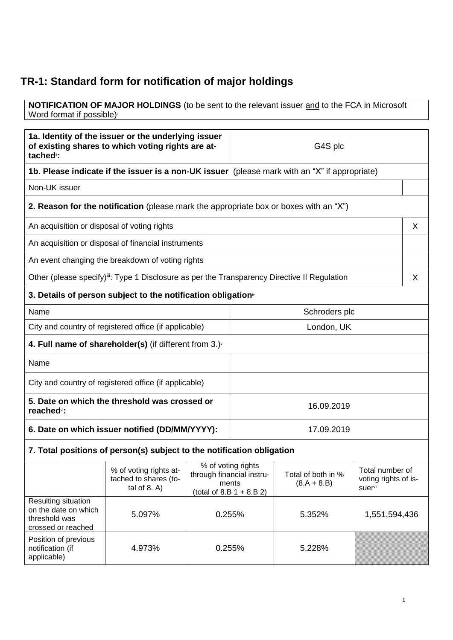## **TR-1: Standard form for notification of major holdings**

**NOTIFICATION OF MAJOR HOLDINGS** (to be sent to the relevant issuer and to the FCA in Microsoft Word format if possible)

| 1a. Identity of the issuer or the underlying issuer<br>of existing shares to which voting rights are at-<br>tached <sup>®</sup> : |                                                                                                                                                                                                                 |        | G4S plc                                 |        |               |   |
|-----------------------------------------------------------------------------------------------------------------------------------|-----------------------------------------------------------------------------------------------------------------------------------------------------------------------------------------------------------------|--------|-----------------------------------------|--------|---------------|---|
| 1b. Please indicate if the issuer is a non-UK issuer (please mark with an "X" if appropriate)                                     |                                                                                                                                                                                                                 |        |                                         |        |               |   |
| Non-UK issuer                                                                                                                     |                                                                                                                                                                                                                 |        |                                         |        |               |   |
|                                                                                                                                   | <b>2. Reason for the notification</b> (please mark the appropriate box or boxes with an "X")                                                                                                                    |        |                                         |        |               |   |
| An acquisition or disposal of voting rights                                                                                       |                                                                                                                                                                                                                 |        |                                         |        |               | X |
|                                                                                                                                   | An acquisition or disposal of financial instruments                                                                                                                                                             |        |                                         |        |               |   |
|                                                                                                                                   | An event changing the breakdown of voting rights                                                                                                                                                                |        |                                         |        |               |   |
|                                                                                                                                   | Other (please specify) <sup>iii</sup> : Type 1 Disclosure as per the Transparency Directive II Regulation                                                                                                       |        |                                         |        |               | X |
|                                                                                                                                   | 3. Details of person subject to the notification obligation <sup>®</sup>                                                                                                                                        |        |                                         |        |               |   |
| Name                                                                                                                              |                                                                                                                                                                                                                 |        | Schroders plc                           |        |               |   |
|                                                                                                                                   | City and country of registered office (if applicable)                                                                                                                                                           |        | London, UK                              |        |               |   |
| 4. Full name of shareholder(s) (if different from $3.$ ) $\sqrt{ }$                                                               |                                                                                                                                                                                                                 |        |                                         |        |               |   |
| Name                                                                                                                              |                                                                                                                                                                                                                 |        |                                         |        |               |   |
| City and country of registered office (if applicable)                                                                             |                                                                                                                                                                                                                 |        |                                         |        |               |   |
| 5. Date on which the threshold was crossed or<br>reached <sup>vi</sup> :                                                          |                                                                                                                                                                                                                 |        | 16.09.2019                              |        |               |   |
| 6. Date on which issuer notified (DD/MM/YYYY):                                                                                    |                                                                                                                                                                                                                 |        | 17.09.2019                              |        |               |   |
|                                                                                                                                   | 7. Total positions of person(s) subject to the notification obligation                                                                                                                                          |        |                                         |        |               |   |
|                                                                                                                                   | % of voting rights<br>% of voting rights at-<br>through financial instru-<br>Total of both in %<br>tached to shares (to-<br>ments<br>$(8.A + 8.B)$<br>tal of $8. A$ )<br>suervii<br>(total of $8.B 1 + 8.B 2$ ) |        | Total number of<br>voting rights of is- |        |               |   |
| Resulting situation<br>on the date on which<br>threshold was<br>crossed or reached                                                | 5.097%                                                                                                                                                                                                          |        | 0.255%                                  | 5.352% | 1,551,594,436 |   |
| Position of previous<br>notification (if<br>applicable)                                                                           | 4.973%                                                                                                                                                                                                          | 0.255% |                                         | 5.228% |               |   |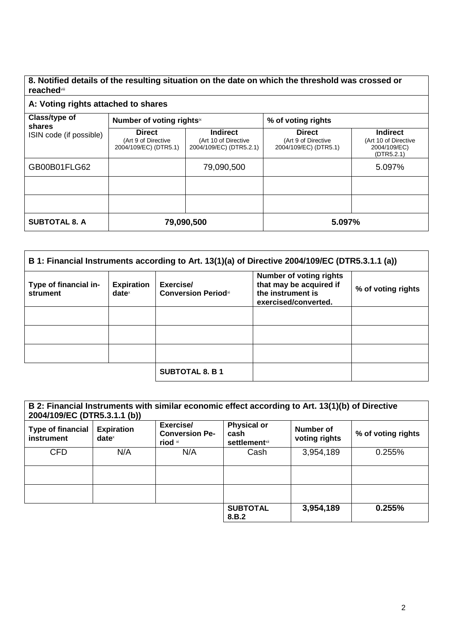**8. Notified details of the resulting situation on the date on which the threshold was crossed or reached**viii

| A: Voting rights attached to shares |                                                               |                                                                    |                                                               |                                                                       |  |
|-------------------------------------|---------------------------------------------------------------|--------------------------------------------------------------------|---------------------------------------------------------------|-----------------------------------------------------------------------|--|
| Class/type of<br>shares             | Number of voting rightsix                                     |                                                                    | % of voting rights                                            |                                                                       |  |
| ISIN code (if possible)             | <b>Direct</b><br>(Art 9 of Directive<br>2004/109/EC) (DTR5.1) | <b>Indirect</b><br>(Art 10 of Directive<br>2004/109/EC) (DTR5.2.1) | <b>Direct</b><br>(Art 9 of Directive<br>2004/109/EC) (DTR5.1) | <b>Indirect</b><br>(Art 10 of Directive<br>2004/109/EC)<br>(DTR5.2.1) |  |
| GB00B01FLG62                        |                                                               | 79,090,500                                                         |                                                               | 5.097%                                                                |  |
|                                     |                                                               |                                                                    |                                                               |                                                                       |  |
|                                     |                                                               |                                                                    |                                                               |                                                                       |  |
| <b>SUBTOTAL 8. A</b>                |                                                               | 79,090,500                                                         | 5.097%                                                        |                                                                       |  |

| B 1: Financial Instruments according to Art. 13(1)(a) of Directive 2004/109/EC (DTR5.3.1.1 (a)) |                               |                                         |                                                                                                        |                    |
|-------------------------------------------------------------------------------------------------|-------------------------------|-----------------------------------------|--------------------------------------------------------------------------------------------------------|--------------------|
| Type of financial in-<br>strument                                                               | <b>Expiration</b><br>$date^x$ | Exercise/<br><b>Conversion Periodxi</b> | <b>Number of voting rights</b><br>that may be acquired if<br>the instrument is<br>exercised/converted. | % of voting rights |
|                                                                                                 |                               |                                         |                                                                                                        |                    |
|                                                                                                 |                               |                                         |                                                                                                        |                    |
|                                                                                                 |                               |                                         |                                                                                                        |                    |
|                                                                                                 |                               | <b>SUBTOTAL 8. B 1</b>                  |                                                                                                        |                    |

| 2004/109/EC (DTR5.3.1.1 (b))           |                               | B 2: Financial Instruments with similar economic effect according to Art. 13(1)(b) of Directive |                                                                |                            |                    |
|----------------------------------------|-------------------------------|-------------------------------------------------------------------------------------------------|----------------------------------------------------------------|----------------------------|--------------------|
| <b>Type of financial</b><br>instrument | <b>Expiration</b><br>$date^x$ | Exercise/<br><b>Conversion Pe-</b><br>riod xi                                                   | <b>Physical or</b><br>cash<br><b>settlement</b> <sup>xii</sup> | Number of<br>voting rights | % of voting rights |
| <b>CFD</b>                             | N/A                           | N/A                                                                                             | Cash                                                           | 3,954,189                  | 0.255%             |
|                                        |                               |                                                                                                 |                                                                |                            |                    |
|                                        |                               |                                                                                                 |                                                                |                            |                    |
|                                        |                               |                                                                                                 | <b>SUBTOTAL</b><br>8.B.2                                       | 3,954,189                  | 0.255%             |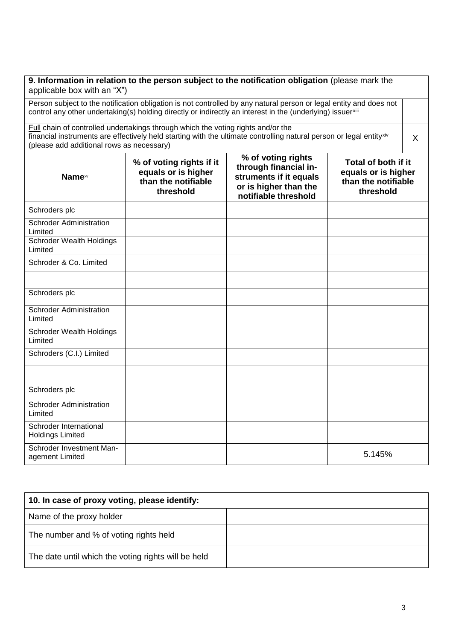| applicable box with an "X")                       |                                                                                     | 9. Information in relation to the person subject to the notification obligation (please mark the                                                                                                                                 |                                                                                |         |
|---------------------------------------------------|-------------------------------------------------------------------------------------|----------------------------------------------------------------------------------------------------------------------------------------------------------------------------------------------------------------------------------|--------------------------------------------------------------------------------|---------|
|                                                   |                                                                                     | Person subject to the notification obligation is not controlled by any natural person or legal entity and does not<br>control any other undertaking(s) holding directly or indirectly an interest in the (underlying) issuerxill |                                                                                |         |
| (please add additional rows as necessary)         | Full chain of controlled undertakings through which the voting rights and/or the    | financial instruments are effectively held starting with the ultimate controlling natural person or legal entityxiv                                                                                                              |                                                                                | $\sf X$ |
| <b>Name</b> xv                                    | % of voting rights if it<br>equals or is higher<br>than the notifiable<br>threshold | % of voting rights<br>through financial in-<br>struments if it equals<br>or is higher than the<br>notifiable threshold                                                                                                           | Total of both if it<br>equals or is higher<br>than the notifiable<br>threshold |         |
| Schroders plc                                     |                                                                                     |                                                                                                                                                                                                                                  |                                                                                |         |
| <b>Schroder Administration</b><br>Limited         |                                                                                     |                                                                                                                                                                                                                                  |                                                                                |         |
| Schroder Wealth Holdings<br>Limited               |                                                                                     |                                                                                                                                                                                                                                  |                                                                                |         |
| Schroder & Co. Limited                            |                                                                                     |                                                                                                                                                                                                                                  |                                                                                |         |
|                                                   |                                                                                     |                                                                                                                                                                                                                                  |                                                                                |         |
| Schroders plc                                     |                                                                                     |                                                                                                                                                                                                                                  |                                                                                |         |
| <b>Schroder Administration</b><br>Limited         |                                                                                     |                                                                                                                                                                                                                                  |                                                                                |         |
| <b>Schroder Wealth Holdings</b><br>Limited        |                                                                                     |                                                                                                                                                                                                                                  |                                                                                |         |
| Schroders (C.I.) Limited                          |                                                                                     |                                                                                                                                                                                                                                  |                                                                                |         |
|                                                   |                                                                                     |                                                                                                                                                                                                                                  |                                                                                |         |
| Schroders plc                                     |                                                                                     |                                                                                                                                                                                                                                  |                                                                                |         |
| <b>Schroder Administration</b><br>Limited         |                                                                                     |                                                                                                                                                                                                                                  |                                                                                |         |
| Schroder International<br><b>Holdings Limited</b> |                                                                                     |                                                                                                                                                                                                                                  |                                                                                |         |
| Schroder Investment Man-<br>agement Limited       |                                                                                     |                                                                                                                                                                                                                                  | 5.145%                                                                         |         |

| 10. In case of proxy voting, please identify:       |  |
|-----------------------------------------------------|--|
| Name of the proxy holder                            |  |
| The number and % of voting rights held              |  |
| The date until which the voting rights will be held |  |